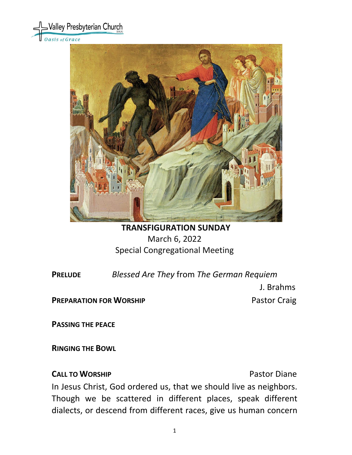



# **TRANSFIGURATION SUNDAY** March 6, 2022 Special Congregational Meeting

**PRELUDE** *Blessed Are They* from *The German Requiem*

J. Brahms

**PREPARATION FOR WORSHIP <b>PREPARATION** FOR WORSHIP

**PASSING THE PEACE**

**RINGING THE BOWL** 

## **CALL TO WORSHIP CALL TO WORSHIP**

In Jesus Christ, God ordered us, that we should live as neighbors. Though we be scattered in different places, speak different dialects, or descend from different races, give us human concern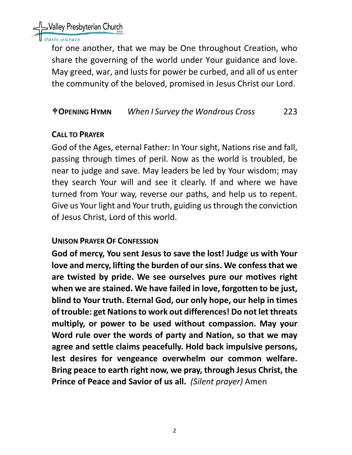

## asis of Grace

for one another, that we may be One throughout Creation, who share the governing of the world under Your guidance and love. May greed, war, and lusts for power be curbed, and all of us enter the community of the beloved, promised in Jesus Christ our Lord.

## **OPENING HYMN** *When I Survey the Wondrous Cross* 223

## **CALL TO PRAYER**

God of the Ages, eternal Father: In Your sight, Nations rise and fall, passing through times of peril. Now as the world is troubled, be near to judge and save. May leaders be led by Your wisdom; may they search Your will and see it clearly. If and where we have turned from Your way, reverse our paths, and help us to repent. Give us Your light and Your truth, guiding us through the conviction of Jesus Christ, Lord of this world.

## **UNISON PRAYER OF CONFESSION**

**God of mercy, You sent Jesus to save the lost! Judge us with Your love and mercy, lifting the burden of our sins. We confess that we are twisted by pride. We see ourselves pure our motives right when we are stained. We have failed in love, forgotten to be just, blind to Your truth. Eternal God, our only hope, our help in times of trouble: get Nations to work out differences! Do not let threats multiply, or power to be used without compassion. May your Word rule over the words of party and Nation, so that we may agree and settle claims peacefully. Hold back impulsive persons, lest desires for vengeance overwhelm our common welfare. Bring peace to earth right now, we pray, through Jesus Christ, the Prince of Peace and Savior of us all.** *(Silent prayer)* Amen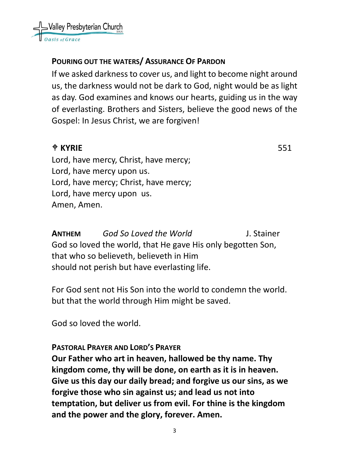

## **POURING OUT THE WATERS/ ASSURANCE OF PARDON**

If we asked darkness to cover us, and light to become night around us, the darkness would not be dark to God, night would be as light as day. God examines and knows our hearts, guiding us in the way of everlasting. Brothers and Sisters, believe the good news of the Gospel: In Jesus Christ, we are forgiven!

# $\angle$  **KYRIE** 551

Lord, have mercy, Christ, have mercy; Lord, have mercy upon us. Lord, have mercy; Christ, have mercy; Lord, have mercy upon us. Amen, Amen.

**ANTHEM** *God So Loved the World* J. Stainer God so loved the world, that He gave His only begotten Son, that who so believeth, believeth in Him should not perish but have everlasting life.

For God sent not His Son into the world to condemn the world. but that the world through Him might be saved.

God so loved the world.

## **PASTORAL PRAYER AND LORD'S PRAYER**

**Our Father who art in heaven, hallowed be thy name. Thy kingdom come, thy will be done, on earth as it is in heaven. Give us this day our daily bread; and forgive us our sins, as we forgive those who sin against us; and lead us not into temptation, but deliver us from evil. For thine is the kingdom and the power and the glory, forever. Amen.**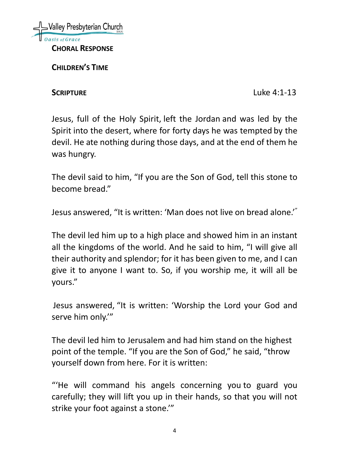

**CHILDREN'S TIME** 

**SCRIPTURE** Luke 4:1-13

Jesus, full of the Holy Spirit, left the Jordan and was led by the Spirit into the desert, where for forty days he was tempted by the devil. He ate nothing during those days, and at the end of them he was hungry.

The devil said to him, "If you are the Son of God, tell this stone to become bread."

Jesus answered, "It is written: 'Man does not live on bread alone.'"

The devil led him up to a high place and showed him in an instant all the kingdoms of the world. And he said to him, "I will give all their authority and splendor; for it has been given to me, and I can give it to anyone I want to. So, if you worship me, it will all be yours."

Jesus answered, "It is written: 'Worship the Lord your God and serve him only.'"

The devil led him to Jerusalem and had him stand on the highest point of the temple. "If you are the Son of God," he said, "throw yourself down from here. For it is written:

"'He will command his angels concerning you to guard you carefully; they will lift you up in their hands, so that you will not strike your foot against a stone.'"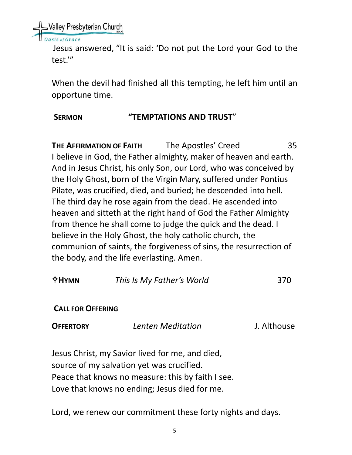Nalley Presbyterian Church

is of Grace

Jesus answered, "It is said: 'Do not put the Lord your God to the test.'"

When the devil had finished all this tempting, he left him until an opportune time.

# **SERMON "TEMPTATIONS AND TRUST**"

**THE AFFIRMATION OF FAITH** The Apostles' Creed 35 I believe in God, the Father almighty, maker of heaven and earth. And in Jesus Christ, his only Son, our Lord, who was conceived by the Holy Ghost, born of the Virgin Mary, suffered under Pontius Pilate, was crucified, died, and buried; he descended into hell. The third day he rose again from the dead. He ascended into heaven and sitteth at the right hand of God the Father Almighty from thence he shall come to judge the quick and the dead. I believe in the Holy Ghost, the holy catholic church, the communion of saints, the forgiveness of sins, the resurrection of the body, and the life everlasting. Amen.

| $#HY$ MN                 | This Is My Father's World                                                                    | 370         |  |
|--------------------------|----------------------------------------------------------------------------------------------|-------------|--|
| <b>CALL FOR OFFERING</b> |                                                                                              |             |  |
| <b>OFFERTORY</b>         | Lenten Meditation                                                                            | J. Althouse |  |
|                          | Jesus Christ, my Savior lived for me, and died,<br>source of my salvation yet was crucified. |             |  |
|                          | Peace that knows no measure: this by faith I see.                                            |             |  |
|                          |                                                                                              |             |  |
|                          | Love that knows no ending; Jesus died for me.                                                |             |  |

Lord, we renew our commitment these forty nights and days.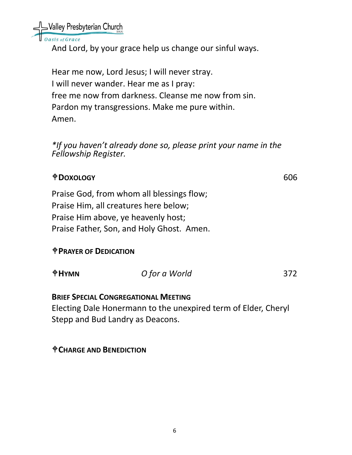Nalley Presbyterian Church

sis of Grace

And Lord, by your grace help us change our sinful ways.

Hear me now, Lord Jesus; I will never stray. I will never wander. Hear me as I pray: free me now from darkness. Cleanse me now from sin. Pardon my transgressions. Make me pure within. Amen.

*\*If you haven't already done so, please print your name in the Fellowship Register.*

# **DOXOLOGY** 606

Praise God, from whom all blessings flow; Praise Him, all creatures here below; Praise Him above, ye heavenly host; Praise Father, Son, and Holy Ghost. Amen.

**PRAYER OF DEDICATION**

| $\oplus$ HYMN | O for a World | 372 |
|---------------|---------------|-----|
|               |               |     |

## **BRIEF SPECIAL CONGREGATIONAL MEETING**

Electing Dale Honermann to the unexpired term of Elder, Cheryl Stepp and Bud Landry as Deacons.

## **CHARGE AND BENEDICTION**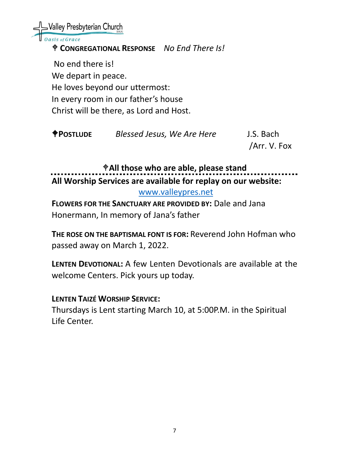Valley Presbyterian Church sis of Grace **CONGREGATIONAL RESPONSE** *No End There Is!* No end there is! We depart in peace. He loves beyond our uttermost: In every room in our father's house Christ will be there, as Lord and Host.

**POSTLUDE** *Blessed Jesus, We Are Here* J.S. Bach

/Arr. V. Fox

**All those who are able, please stand All Worship Services are available for replay on our website:** 

[www.valleypres.net](http://www.valleypres.net/)

**FLOWERS FOR THE SANCTUARY ARE PROVIDED BY:** Dale and Jana Honermann, In memory of Jana's father

**THE ROSE ON THE BAPTISMAL FONT IS FOR:** Reverend John Hofman who passed away on March 1, 2022.

**LENTEN DEVOTIONAL:** A few Lenten Devotionals are available at the welcome Centers. Pick yours up today.

## **LENTEN TAIZÉ WORSHIP SERVICE:**

Thursdays is Lent starting March 10, at 5:00P.M. in the Spiritual Life Center.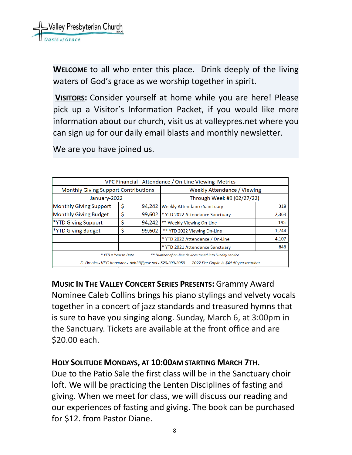

**WELCOME** to all who enter this place. Drink deeply of the living waters of God's grace as we worship together in spirit.

**VISITORS:** Consider yourself at home while you are here! Please pick up a Visitor's Information Packet, if you would like more information about our church, visit us at valleypres.net where you can sign up for our daily email blasts and monthly newsletter.

We are you have joined us.

| VPC Financial - Attendance / On-Line Viewing Metrics                                              |    |        |                                    |       |  |  |  |
|---------------------------------------------------------------------------------------------------|----|--------|------------------------------------|-------|--|--|--|
| <b>Monthly Giving Support Contributions</b>                                                       |    |        | <b>Weekly Attendance / Viewing</b> |       |  |  |  |
| January-2022                                                                                      |    |        | Through Week #9 (02/27/22)         |       |  |  |  |
| Monthly Giving Support                                                                            | \$ | 94,242 | <b>Weekly Attendance Sanctuary</b> | 318   |  |  |  |
| Monthly Giving Budget                                                                             | \$ | 99.602 | * YTD 2022 Attendance Sanctuary    | 2,363 |  |  |  |
| <b>*YTD Giving Support</b>                                                                        | \$ | 94,242 | ** Weekly Viewing On-Line          | 195   |  |  |  |
| <b>*YTD Giving Budget</b>                                                                         | Ś  | 99,602 | ** YTD 2022 Viewing On-Line        | 1,744 |  |  |  |
|                                                                                                   |    |        | * YTD 2022 Attendance / On-Line    | 4,107 |  |  |  |
|                                                                                                   |    |        | * YTD 2021 Attendance Sanctuary    | 848   |  |  |  |
| * YTD = Year to Date<br>** Number of on-line devices tuned into Sunday service                    |    |        |                                    |       |  |  |  |
| D. Brooks - VPC treasurer - dxb38@cox.net - 520-399-3959<br>2022 Per Capita is \$41.50 per member |    |        |                                    |       |  |  |  |

**MUSIC IN THE VALLEY CONCERT SERIES PRESENTS:** Grammy Award Nominee Caleb Collins brings his piano stylings and velvety vocals together in a concert of jazz standards and treasured hymns that is sure to have you singing along. Sunday, March 6, at 3:00pm in the Sanctuary. Tickets are available at the front office and are \$20.00 each.

## **HOLY SOLITUDE MONDAYS, AT 10:00AM STARTING MARCH 7TH.**

Due to the Patio Sale the first class will be in the Sanctuary choir loft. We will be practicing the Lenten Disciplines of fasting and giving. When we meet for class, we will discuss our reading and our experiences of fasting and giving. The book can be purchased for \$12. from Pastor Diane.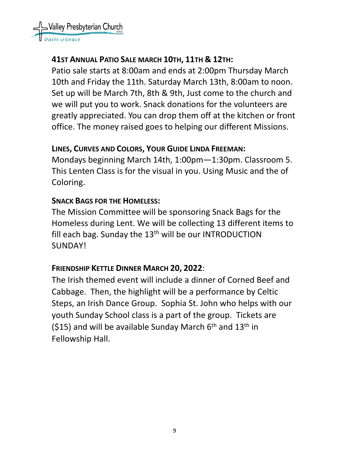Valley Presbyterian Church

# **41ST ANNUAL PATIO SALE MARCH 10TH, 11TH & 12TH:**

Patio sale starts at 8:00am and ends at 2:00pm Thursday March 10th and Friday the 11th. Saturday March 13th, 8:00am to noon. Set up will be March 7th, 8th & 9th, Just come to the church and we will put you to work. Snack donations for the volunteers are greatly appreciated. You can drop them off at the kitchen or front office. The money raised goes to helping our different Missions.

# **LINES, CURVES AND COLORS, YOUR GUIDE LINDA FREEMAN:**

Mondays beginning March 14th, 1:00pm—1:30pm. Classroom 5. This Lenten Class is for the visual in you. Using Music and the of Coloring.

# **SNACK BAGS FOR THE HOMELESS:**

The Mission Committee will be sponsoring Snack Bags for the Homeless during Lent. We will be collecting 13 different items to fill each bag. Sunday the  $13<sup>th</sup>$  will be our INTRODUCTION SUNDAY!

# **FRIENDSHIP KETTLE DINNER MARCH 20, 2022**:

The Irish themed event will include a dinner of Corned Beef and Cabbage. Then, the highlight will be a performance by Celtic Steps, an Irish Dance Group. Sophia St. John who helps with our youth Sunday School class is a part of the group. Tickets are (\$15) and will be available Sunday March  $6<sup>th</sup>$  and  $13<sup>th</sup>$  in Fellowship Hall.